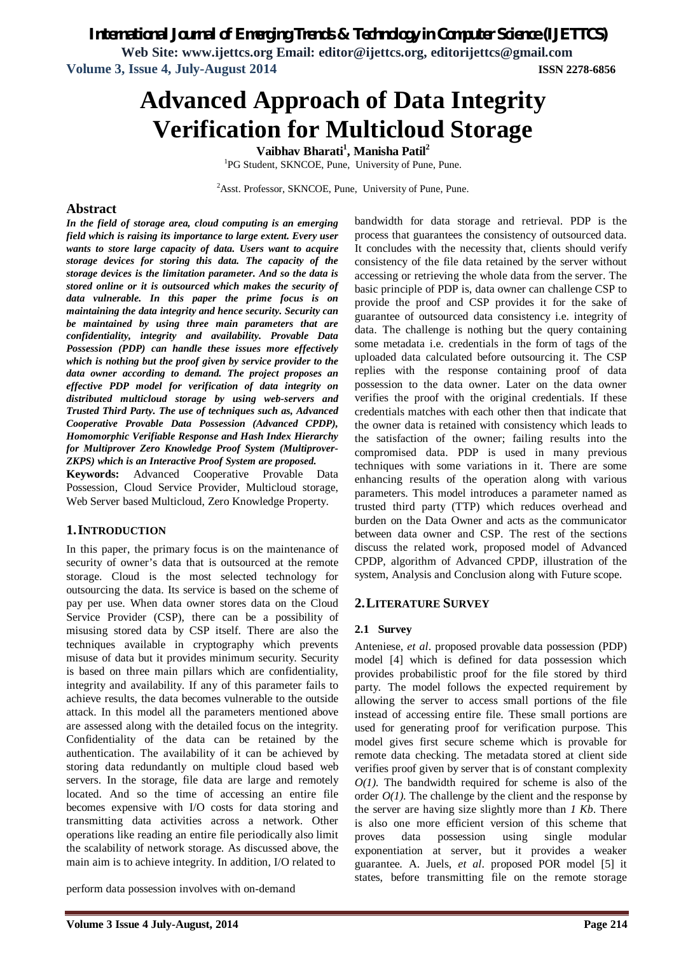*International Journal of Emerging Trends & Technology in Computer Science (IJETTCS)*

**Web Site: www.ijettcs.org Email: editor@ijettcs.org, editorijettcs@gmail.com Volume 3, Issue 4, July-August 2014 ISSN 2278-6856**

# **Advanced Approach of Data Integrity Verification for Multicloud Storage**

**Vaibhav Bharati<sup>1</sup> , Manisha Patil<sup>2</sup>** <sup>1</sup>PG Student, SKNCOE, Pune, University of Pune, Pune.

<sup>2</sup>Asst. Professor, SKNCOE, Pune, University of Pune, Pune.

# **Abstract**

*In the field of storage area, cloud computing is an emerging field which is raising its importance to large extent. Every user wants to store large capacity of data. Users want to acquire storage devices for storing this data. The capacity of the storage devices is the limitation parameter. And so the data is stored online or it is outsourced which makes the security of data vulnerable. In this paper the prime focus is on maintaining the data integrity and hence security. Security can be maintained by using three main parameters that are confidentiality, integrity and availability. Provable Data Possession (PDP) can handle these issues more effectively which is nothing but the proof given by service provider to the data owner according to demand. The project proposes an effective PDP model for verification of data integrity on distributed multicloud storage by using web-servers and Trusted Third Party. The use of techniques such as, Advanced Cooperative Provable Data Possession (Advanced CPDP), Homomorphic Verifiable Response and Hash Index Hierarchy for Multiprover Zero Knowledge Proof System (Multiprover-ZKPS) which is an Interactive Proof System are proposed.*

**Keywords:** Advanced Cooperative Provable Data Possession, Cloud Service Provider, Multicloud storage, Web Server based Multicloud, Zero Knowledge Property.

# **1.INTRODUCTION**

In this paper, the primary focus is on the maintenance of security of owner's data that is outsourced at the remote storage. Cloud is the most selected technology for outsourcing the data. Its service is based on the scheme of pay per use. When data owner stores data on the Cloud Service Provider (CSP), there can be a possibility of misusing stored data by CSP itself. There are also the techniques available in cryptography which prevents misuse of data but it provides minimum security. Security is based on three main pillars which are confidentiality, integrity and availability. If any of this parameter fails to achieve results, the data becomes vulnerable to the outside attack. In this model all the parameters mentioned above are assessed along with the detailed focus on the integrity. Confidentiality of the data can be retained by the authentication. The availability of it can be achieved by storing data redundantly on multiple cloud based web servers. In the storage, file data are large and remotely located. And so the time of accessing an entire file becomes expensive with I/O costs for data storing and transmitting data activities across a network. Other operations like reading an entire file periodically also limit the scalability of network storage. As discussed above, the main aim is to achieve integrity. In addition, I/O related to

perform data possession involves with on-demand

process that guarantees the consistency of outsourced data. It concludes with the necessity that, clients should verify consistency of the file data retained by the server without accessing or retrieving the whole data from the server. The basic principle of PDP is, data owner can challenge CSP to provide the proof and CSP provides it for the sake of guarantee of outsourced data consistency i.e. integrity of data. The challenge is nothing but the query containing some metadata i.e. credentials in the form of tags of the uploaded data calculated before outsourcing it. The CSP replies with the response containing proof of data possession to the data owner. Later on the data owner verifies the proof with the original credentials. If these credentials matches with each other then that indicate that the owner data is retained with consistency which leads to the satisfaction of the owner; failing results into the compromised data. PDP is used in many previous techniques with some variations in it. There are some enhancing results of the operation along with various parameters. This model introduces a parameter named as trusted third party (TTP) which reduces overhead and burden on the Data Owner and acts as the communicator between data owner and CSP. The rest of the sections discuss the related work, proposed model of Advanced CPDP, algorithm of Advanced CPDP, illustration of the system, Analysis and Conclusion along with Future scope.

bandwidth for data storage and retrieval. PDP is the

# **2.LITERATURE SURVEY**

#### **2.1 Survey**

Anteniese, *et al*. proposed provable data possession (PDP) model [4] which is defined for data possession which provides probabilistic proof for the file stored by third party. The model follows the expected requirement by allowing the server to access small portions of the file instead of accessing entire file. These small portions are used for generating proof for verification purpose. This model gives first secure scheme which is provable for remote data checking. The metadata stored at client side verifies proof given by server that is of constant complexity *O(1)*. The bandwidth required for scheme is also of the order  $O(1)$ . The challenge by the client and the response by the server are having size slightly more than *1 Kb*. There is also one more efficient version of this scheme that proves data possession using single modular exponentiation at server, but it provides a weaker guarantee. A. Juels, *et al*. proposed POR model [5] it states, before transmitting file on the remote storage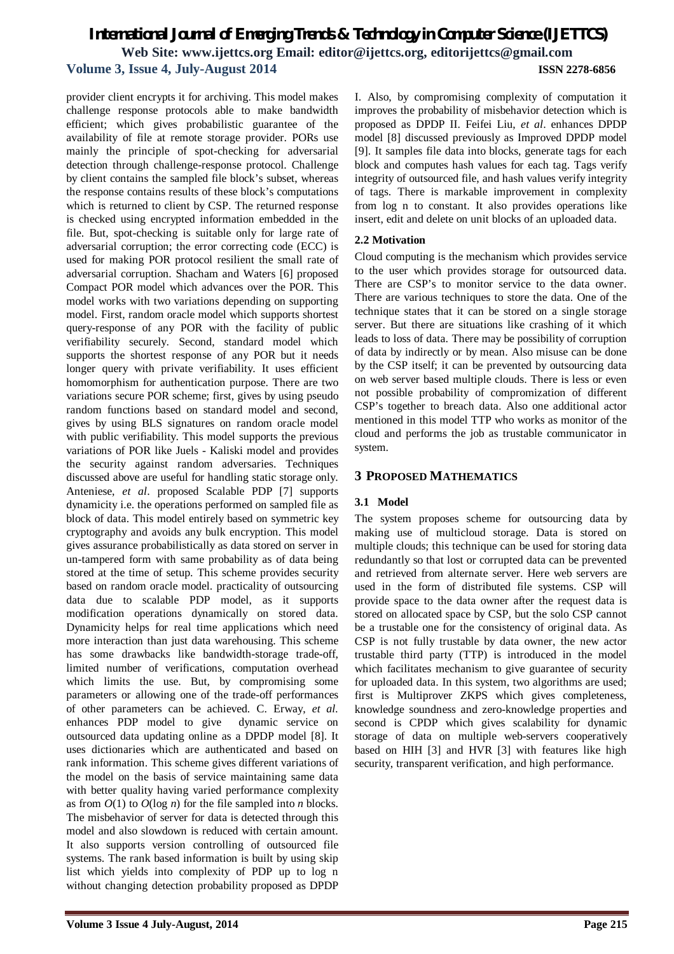provider client encrypts it for archiving. This model makes challenge response protocols able to make bandwidth efficient; which gives probabilistic guarantee of the availability of file at remote storage provider. PORs use mainly the principle of spot-checking for adversarial detection through challenge-response protocol. Challenge by client contains the sampled file block's subset, whereas the response contains results of these block's computations which is returned to client by CSP. The returned response is checked using encrypted information embedded in the file. But, spot-checking is suitable only for large rate of adversarial corruption; the error correcting code (ECC) is used for making POR protocol resilient the small rate of adversarial corruption. Shacham and Waters [6] proposed Compact POR model which advances over the POR. This model works with two variations depending on supporting model. First, random oracle model which supports shortest query-response of any POR with the facility of public verifiability securely. Second, standard model which supports the shortest response of any POR but it needs longer query with private verifiability. It uses efficient homomorphism for authentication purpose. There are two variations secure POR scheme; first, gives by using pseudo random functions based on standard model and second, gives by using BLS signatures on random oracle model with public verifiability. This model supports the previous variations of POR like Juels - Kaliski model and provides the security against random adversaries. Techniques discussed above are useful for handling static storage only. Anteniese, *et al*. proposed Scalable PDP [7] supports dynamicity i.e. the operations performed on sampled file as block of data. This model entirely based on symmetric key cryptography and avoids any bulk encryption. This model gives assurance probabilistically as data stored on server in un-tampered form with same probability as of data being stored at the time of setup. This scheme provides security based on random oracle model. practicality of outsourcing data due to scalable PDP model, as it supports modification operations dynamically on stored data. Dynamicity helps for real time applications which need more interaction than just data warehousing. This scheme has some drawbacks like bandwidth-storage trade-off, limited number of verifications, computation overhead which limits the use. But, by compromising some parameters or allowing one of the trade-off performances of other parameters can be achieved. C. Erway, *et al.* enhances PDP model to give dynamic service on outsourced data updating online as a DPDP model [8]. It uses dictionaries which are authenticated and based on rank information. This scheme gives different variations of the model on the basis of service maintaining same data with better quality having varied performance complexity as from *O*(1) to *O*(log *n*) for the file sampled into *n* blocks. The misbehavior of server for data is detected through this model and also slowdown is reduced with certain amount. It also supports version controlling of outsourced file systems. The rank based information is built by using skip list which yields into complexity of PDP up to log n without changing detection probability proposed as DPDP

I. Also, by compromising complexity of computation it improves the probability of misbehavior detection which is proposed as DPDP II. Feifei Liu, *et al*. enhances DPDP model [8] discussed previously as Improved DPDP model [9]. It samples file data into blocks, generate tags for each block and computes hash values for each tag. Tags verify integrity of outsourced file, and hash values verify integrity of tags. There is markable improvement in complexity from log n to constant. It also provides operations like insert, edit and delete on unit blocks of an uploaded data.

### **2.2 Motivation**

Cloud computing is the mechanism which provides service to the user which provides storage for outsourced data. There are CSP's to monitor service to the data owner. There are various techniques to store the data. One of the technique states that it can be stored on a single storage server. But there are situations like crashing of it which leads to loss of data. There may be possibility of corruption of data by indirectly or by mean. Also misuse can be done by the CSP itself; it can be prevented by outsourcing data on web server based multiple clouds. There is less or even not possible probability of compromization of different CSP's together to breach data. Also one additional actor mentioned in this model TTP who works as monitor of the cloud and performs the job as trustable communicator in system.

### **3 PROPOSED MATHEMATICS**

# **3.1 Model**

The system proposes scheme for outsourcing data by making use of multicloud storage. Data is stored on multiple clouds; this technique can be used for storing data redundantly so that lost or corrupted data can be prevented and retrieved from alternate server. Here web servers are used in the form of distributed file systems. CSP will provide space to the data owner after the request data is stored on allocated space by CSP, but the solo CSP cannot be a trustable one for the consistency of original data. As CSP is not fully trustable by data owner, the new actor trustable third party (TTP) is introduced in the model which facilitates mechanism to give guarantee of security for uploaded data. In this system, two algorithms are used; first is Multiprover ZKPS which gives completeness, knowledge soundness and zero-knowledge properties and second is CPDP which gives scalability for dynamic storage of data on multiple web-servers cooperatively based on HIH [3] and HVR [3] with features like high security, transparent verification, and high performance.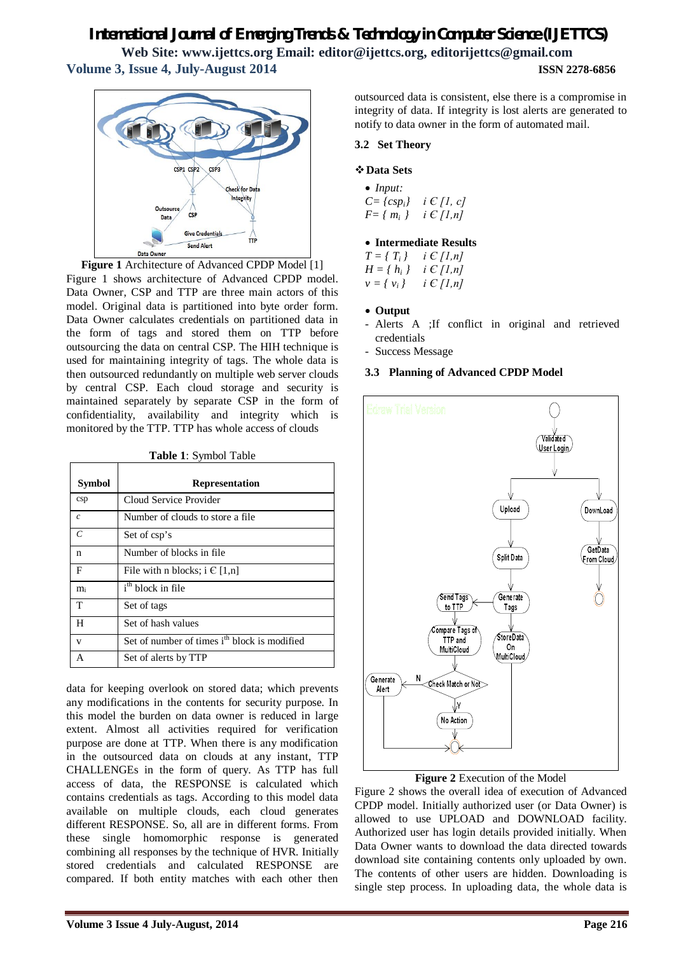# *International Journal of Emerging Trends & Technology in Computer Science (IJETTCS)*

**Web Site: www.ijettcs.org Email: editor@ijettcs.org, editorijettcs@gmail.com Volume 3, Issue 4, July-August 2014 ISSN 2278-6856**



**Figure 1** Architecture of Advanced CPDP Model [1] Figure 1 shows architecture of Advanced CPDP model. Data Owner, CSP and TTP are three main actors of this model. Original data is partitioned into byte order form. Data Owner calculates credentials on partitioned data in the form of tags and stored them on TTP before outsourcing the data on central CSP. The HIH technique is used for maintaining integrity of tags. The whole data is then outsourced redundantly on multiple web server clouds by central CSP. Each cloud storage and security is maintained separately by separate CSP in the form of confidentiality, availability and integrity which is monitored by the TTP. TTP has whole access of clouds

| Table 1: Symbol Table |  |
|-----------------------|--|
|-----------------------|--|

| <b>Symbol</b> | <b>Representation</b>                                    |
|---------------|----------------------------------------------------------|
| csp           | Cloud Service Provider                                   |
| $\mathcal{C}$ | Number of clouds to store a file                         |
| $\epsilon$    | Set of csp's                                             |
| n             | Number of blocks in file.                                |
| F             | File with n blocks; $i \in [1,n]$                        |
| mi            | i <sup>th</sup> block in file                            |
| T             | Set of tags                                              |
| н             | Set of hash values                                       |
| V             | Set of number of times i <sup>th</sup> block is modified |
| А             | Set of alerts by TTP                                     |

data for keeping overlook on stored data; which prevents any modifications in the contents for security purpose. In this model the burden on data owner is reduced in large extent. Almost all activities required for verification purpose are done at TTP. When there is any modification in the outsourced data on clouds at any instant, TTP CHALLENGEs in the form of query. As TTP has full access of data, the RESPONSE is calculated which contains credentials as tags. According to this model data available on multiple clouds, each cloud generates different RESPONSE. So, all are in different forms. From these single homomorphic response is generated combining all responses by the technique of HVR. Initially stored credentials and calculated RESPONSE are compared. If both entity matches with each other then

outsourced data is consistent, else there is a compromise in integrity of data. If integrity is lost alerts are generated to notify to data owner in the form of automated mail.

#### **3.2 Set Theory**

#### **Data Sets**

 *Input: C= {cspi} i Є [1, c] F= { mi } i Є [1,n]*

#### **Intermediate Results**

 $T = \{ T_i \}$  *i*  $E [I, n]$  $H = \{ h_i \}$  *i*  $\in$  [1,n]  $v = \{ v_i \}$  *i*  $\{ C | I, n \}$ 

- **Output**
- Alerts A ;If conflict in original and retrieved credentials
- Success Message

#### **3.3 Planning of Advanced CPDP Model**



#### **Figure 2** Execution of the Model

Figure 2 shows the overall idea of execution of Advanced CPDP model. Initially authorized user (or Data Owner) is allowed to use UPLOAD and DOWNLOAD facility. Authorized user has login details provided initially. When Data Owner wants to download the data directed towards download site containing contents only uploaded by own. The contents of other users are hidden. Downloading is single step process. In uploading data, the whole data is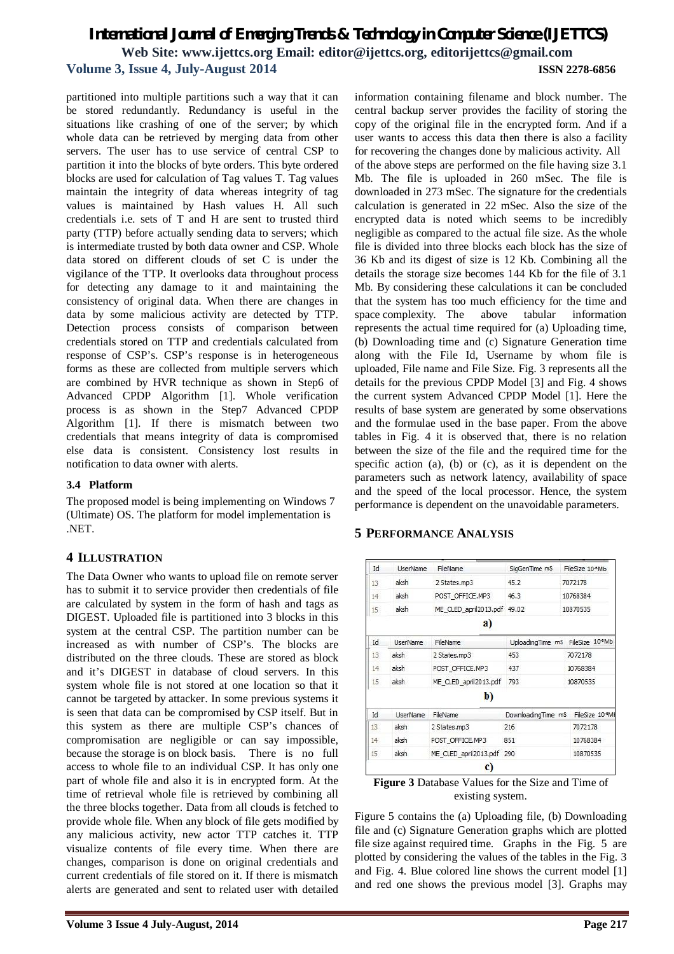partitioned into multiple partitions such a way that it can be stored redundantly. Redundancy is useful in the situations like crashing of one of the server; by which whole data can be retrieved by merging data from other servers. The user has to use service of central CSP to partition it into the blocks of byte orders. This byte ordered blocks are used for calculation of Tag values T. Tag values maintain the integrity of data whereas integrity of tag values is maintained by Hash values H. All such credentials i.e. sets of T and H are sent to trusted third party (TTP) before actually sending data to servers; which is intermediate trusted by both data owner and CSP. Whole data stored on different clouds of set C is under the vigilance of the TTP. It overlooks data throughout process for detecting any damage to it and maintaining the consistency of original data. When there are changes in data by some malicious activity are detected by TTP. Detection process consists of comparison between credentials stored on TTP and credentials calculated from response of CSP's. CSP's response is in heterogeneous forms as these are collected from multiple servers which are combined by HVR technique as shown in Step6 of Advanced CPDP Algorithm [1]. Whole verification process is as shown in the Step7 Advanced CPDP Algorithm [1]. If there is mismatch between two credentials that means integrity of data is compromised else data is consistent. Consistency lost results in notification to data owner with alerts.

# **3.4 Platform**

The proposed model is being implementing on Windows 7 (Ultimate) OS. The platform for model implementation is .NET.

# **4 ILLUSTRATION**

The Data Owner who wants to upload file on remote server has to submit it to service provider then credentials of file are calculated by system in the form of hash and tags as DIGEST. Uploaded file is partitioned into 3 blocks in this system at the central CSP. The partition number can be increased as with number of CSP's. The blocks are distributed on the three clouds. These are stored as block and it's DIGEST in database of cloud servers. In this system whole file is not stored at one location so that it cannot be targeted by attacker. In some previous systems it is seen that data can be compromised by CSP itself. But in this system as there are multiple CSP's chances of compromisation are negligible or can say impossible, because the storage is on block basis. There is no full access to whole file to an individual CSP. It has only one part of whole file and also it is in encrypted form. At the time of retrieval whole file is retrieved by combining all the three blocks together. Data from all clouds is fetched to provide whole file. When any block of file gets modified by any malicious activity, new actor TTP catches it. TTP visualize contents of file every time. When there are changes, comparison is done on original credentials and current credentials of file stored on it. If there is mismatch alerts are generated and sent to related user with detailed information containing filename and block number. The central backup server provides the facility of storing the copy of the original file in the encrypted form. And if a user wants to access this data then there is also a facility for recovering the changes done by malicious activity. All of the above steps are performed on the file having size 3.1 Mb. The file is uploaded in 260 mSec. The file is downloaded in 273 mSec. The signature for the credentials calculation is generated in 22 mSec. Also the size of the encrypted data is noted which seems to be incredibly negligible as compared to the actual file size. As the whole file is divided into three blocks each block has the size of 36 Kb and its digest of size is 12 Kb. Combining all the details the storage size becomes 144 Kb for the file of 3.1 Mb. By considering these calculations it can be concluded that the system has too much efficiency for the time and space complexity. The above tabular information represents the actual time required for (a) Uploading time, (b) Downloading time and (c) Signature Generation time along with the File Id, Username by whom file is uploaded, File name and File Size. Fig. 3 represents all the details for the previous CPDP Model [3] and Fig. 4 shows the current system Advanced CPDP Model [1]. Here the results of base system are generated by some observations and the formulae used in the base paper. From the above tables in Fig. 4 it is observed that, there is no relation between the size of the file and the required time for the specific action (a), (b) or (c), as it is dependent on the parameters such as network latency, availability of space and the speed of the local processor. Hence, the system performance is dependent on the unavoidable parameters.

# **5 PERFORMANCE ANALYSIS**

| Id              | <b>UserName</b> | FileName                    | SigGenTime mS                                 | FileSize 10*Mb |  |
|-----------------|-----------------|-----------------------------|-----------------------------------------------|----------------|--|
| 13              | aksh            | 2 States.mp3                | 45.2                                          | 7072178        |  |
| 14              | aksh            | POST OFFICE.MP3             | 46.3                                          | 10768384       |  |
| 15              | aksh            | ME CLED april2013.pdf 49.02 |                                               | 10870535       |  |
|                 |                 | a)                          |                                               |                |  |
| Id              | <b>UserName</b> | FileName                    | UploadingTime mS FileSize 10 <sup>-6</sup> Mb |                |  |
| 13              | aksh            | 2 States.mp3                | 453                                           | 7072178        |  |
| 14              | aksh            | POST OFFICE.MP3             | 437                                           | 10768384       |  |
| 15              | aksh            | ME CLED april2013.pdf       | 793                                           | 10870535       |  |
|                 |                 | b)                          |                                               |                |  |
| Id              | <b>UserName</b> | FileName                    | DownloadingTime mS                            | FileSize 10°Mb |  |
| 13              | aksh            | 2 States.mp3                | 216                                           | 7072178        |  |
| 14 <sup>°</sup> | aksh            | POST OFFICE.MP3             | 851                                           | 10768384       |  |
| 15              | aksh            | ME CLED april2013.pdf 290   |                                               | 10870535       |  |
|                 |                 | $\mathbf{c}$                |                                               |                |  |

**Figure 3** Database Values for the Size and Time of existing system.

Figure 5 contains the (a) Uploading file, (b) Downloading file and (c) Signature Generation graphs which are plotted file size against required time. Graphs in the Fig. 5 are plotted by considering the values of the tables in the Fig. 3 and Fig. 4. Blue colored line shows the current model [1] and red one shows the previous model [3]. Graphs may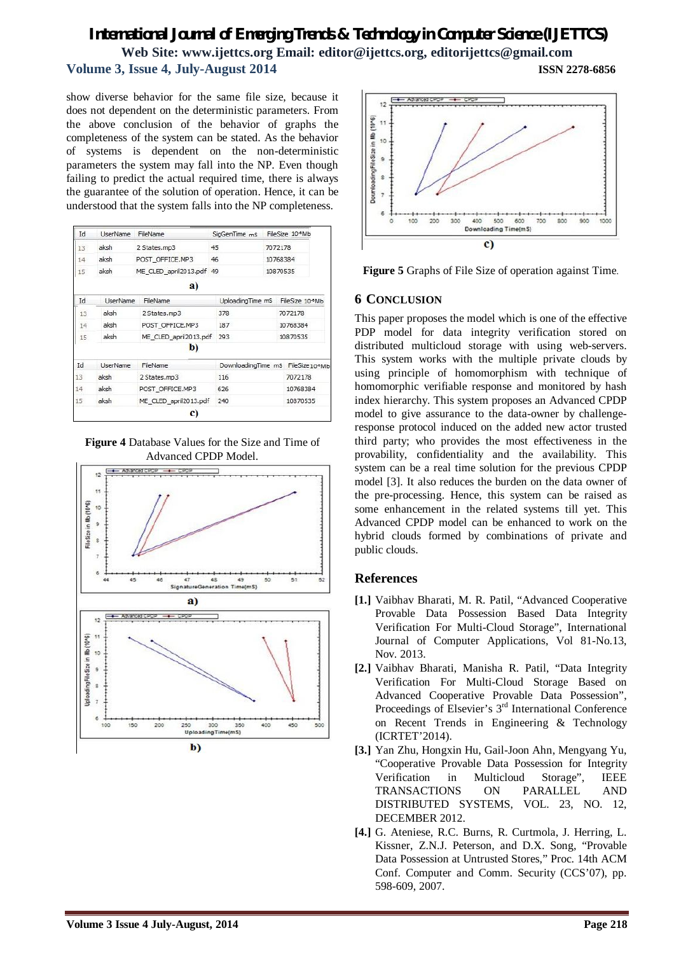show diverse behavior for the same file size, because it does not dependent on the deterministic parameters. From the above conclusion of the behavior of graphs the completeness of the system can be stated. As the behavior of systems is dependent on the non-deterministic parameters the system may fall into the NP. Even though failing to predict the actual required time, there is always the guarantee of the solution of operation. Hence, it can be understood that the system falls into the NP completeness.

| Id | UserName        | FileName                 | SigGenTime mS      |                                    | FileSize 10 <sup>-6</sup> Mb         |  |
|----|-----------------|--------------------------|--------------------|------------------------------------|--------------------------------------|--|
| 13 | aksh            | 2 States.mp3             | 45                 |                                    | 7072178                              |  |
| 14 | aksh            | POST OFFICE.MP3          | 46                 | 10768384                           |                                      |  |
| 15 | aksh            | ME CLED april2013.pdf 49 |                    | 10870535                           |                                      |  |
|    |                 | a)                       |                    |                                    |                                      |  |
| Id | <b>UserName</b> | FileName                 |                    | UploadingTime mS<br>FileSize 10*Mb |                                      |  |
| 13 | aksh            | 2 States.mp3             | 378                |                                    | 7072178                              |  |
| 14 | aksh            | POST OFFICE.MP3          | 187                |                                    | 10768384                             |  |
| 15 | aksh            | ME CLED april2013.pdf    | 293                |                                    | 10870535                             |  |
|    |                 | b)                       |                    |                                    |                                      |  |
| Id | <b>UserName</b> | FileName                 | DownloadingTime mS |                                    | FileSize <sub>10<sup>e</sup>Mb</sub> |  |
| 13 | aksh            | 2 States.mp3             | 116                |                                    | 7072178                              |  |
| 14 | aksh            | POST OFFICE.MP3          | 626                |                                    | 10768384                             |  |
| 15 | aksh            | ME CLED april2013.pdf    | 240                |                                    | 10870535                             |  |
|    |                 | C)                       |                    |                                    |                                      |  |

**Figure 4** Database Values for the Size and Time of Advanced CPDP Model.





**Figure 5** Graphs of File Size of operation against Time.

# **6 CONCLUSION**

This paper proposes the model which is one of the effective PDP model for data integrity verification stored on distributed multicloud storage with using web-servers. This system works with the multiple private clouds by using principle of homomorphism with technique of homomorphic verifiable response and monitored by hash index hierarchy. This system proposes an Advanced CPDP model to give assurance to the data-owner by challengeresponse protocol induced on the added new actor trusted third party; who provides the most effectiveness in the provability, confidentiality and the availability. This system can be a real time solution for the previous CPDP model [3]. It also reduces the burden on the data owner of the pre-processing. Hence, this system can be raised as some enhancement in the related systems till yet. This Advanced CPDP model can be enhanced to work on the hybrid clouds formed by combinations of private and public clouds.

# **References**

- **[1.]** Vaibhav Bharati, M. R. Patil, "Advanced Cooperative Provable Data Possession Based Data Integrity Verification For Multi-Cloud Storage", International Journal of Computer Applications, Vol 81-No.13, Nov. 2013.
- **[2.]** Vaibhav Bharati, Manisha R. Patil, "Data Integrity Verification For Multi-Cloud Storage Based on Advanced Cooperative Provable Data Possession", Proceedings of Elsevier's 3<sup>rd</sup> International Conference on Recent Trends in Engineering & Technology (ICRTET'2014).
- **[3.]** Yan Zhu, Hongxin Hu, Gail-Joon Ahn, Mengyang Yu, "Cooperative Provable Data Possession for Integrity Verification in Multicloud Storage", IEEE TRANSACTIONS ON PARALLEL AND DISTRIBUTED SYSTEMS, VOL. 23, NO. 12, DECEMBER 2012.
- **[4.]** G. Ateniese, R.C. Burns, R. Curtmola, J. Herring, L. Kissner, Z.N.J. Peterson, and D.X. Song, "Provable Data Possession at Untrusted Stores," Proc. 14th ACM Conf. Computer and Comm. Security (CCS'07), pp. 598-609, 2007.